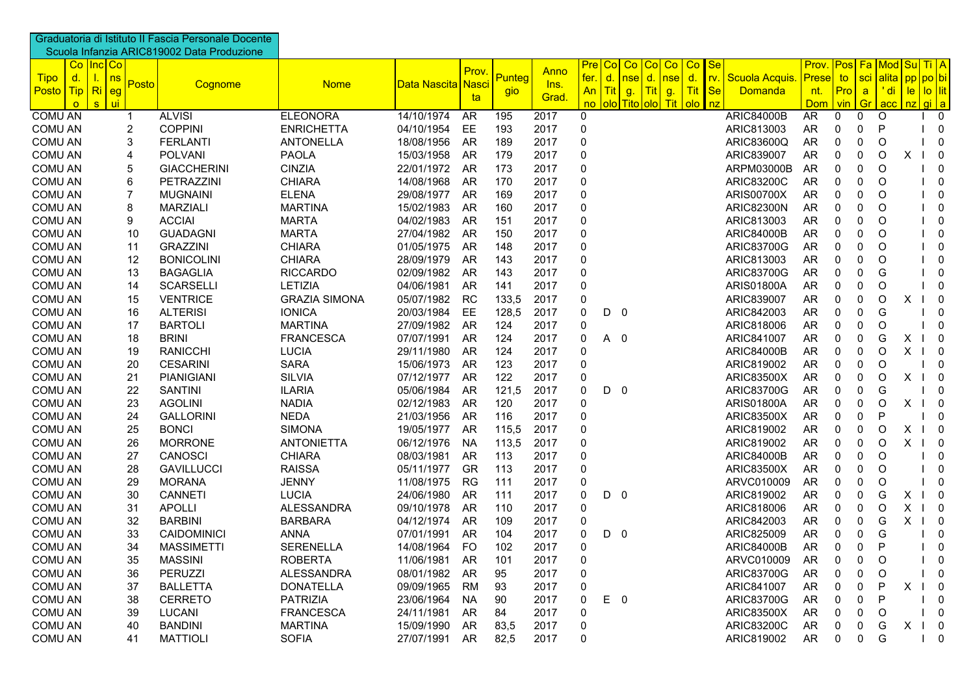|                                |                            | Graduatoria di Istituto II Fascia Personale Docente<br>Scuola Infanzia ARIC819002 Data Produzione |                      |                    |           |        |       |                  |                |                        |        |                                  |                           |                   |    |                                                  |         |   |                                                       |  |
|--------------------------------|----------------------------|---------------------------------------------------------------------------------------------------|----------------------|--------------------|-----------|--------|-------|------------------|----------------|------------------------|--------|----------------------------------|---------------------------|-------------------|----|--------------------------------------------------|---------|---|-------------------------------------------------------|--|
|                                | Co   Inc   Co              |                                                                                                   |                      |                    | Prov.     |        | Anno  | Pre <sub>l</sub> | Co             | Co <sub>1</sub>        |        | Co Co Co Se                      |                           |                   |    |                                                  |         |   | <b>Prov.</b> Pos Fa Mod Su Ti A                       |  |
| <b>Tipo</b><br>d.<br>Posto Tip | ns<br>ι.<br>Posto<br>Ri    | Cognome                                                                                           | <b>Nome</b>          | Data Nascita Nasci |           | Punteg | Ins.  | fer.<br>An       | $\mathsf{d}$ . | nse  <br>Tit g. Tit g. | d. nse | d.<br>$\mathsf{I}$ rv.<br>Tit Se | Scuola Acquis.<br>Domanda | Prese             | to | $Pro$ a                                          |         |   | sci alita pp po bi<br><mark>'di   le   lo  lit</mark> |  |
| $\circ$                        | eg<br>ui :<br>$\mathbf{s}$ |                                                                                                   |                      |                    | ta        | gio    | Grad. | no               |                | olo Tito olo Tit olo   |        | l nz                             |                           | nt.<br><b>Dom</b> |    | $\frac{1}{\sqrt{2}}$ vin $\frac{1}{\sqrt{2}}$ Gr |         |   | <mark>∣acc   nz   gi   a</mark>                       |  |
| <b>COMU AN</b>                 | $\mathbf 1$                | <b>ALVISI</b>                                                                                     | <b>ELEONORA</b>      | 14/10/1974         | AR        | 195    | 2017  | $\Omega$         |                |                        |        |                                  | <b>ARIC84000B</b>         | AR                | 0  | 0                                                | O       |   | $\mathbf 0$                                           |  |
| <b>COMU AN</b>                 | $\overline{2}$             | <b>COPPINI</b>                                                                                    | <b>ENRICHETTA</b>    | 04/10/1954         | EE.       | 193    | 2017  | 0                |                |                        |        |                                  | ARIC813003                | <b>AR</b>         | 0  | 0                                                | P       |   | $\mathbf{0}$                                          |  |
| <b>COMU AN</b>                 | 3                          | <b>FERLANTI</b>                                                                                   | <b>ANTONELLA</b>     | 18/08/1956         | AR        | 189    | 2017  | 0                |                |                        |        |                                  | ARIC83600Q                | AR                | 0  | 0                                                | O       |   | 0                                                     |  |
| <b>COMU AN</b>                 | 4                          | <b>POLVANI</b>                                                                                    | <b>PAOLA</b>         | 15/03/1958         | AR        | 179    | 2017  | 0                |                |                        |        |                                  | ARIC839007                | AR                | 0  | 0                                                | O       | X | $\overline{\mathbf{0}}$                               |  |
| <b>COMU AN</b>                 | 5                          | <b>GIACCHERINI</b>                                                                                | <b>CINZIA</b>        | 22/01/1972         | AR        | 173    | 2017  | $\Omega$         |                |                        |        |                                  | ARPM03000B                | AR                | 0  | 0                                                | O       |   | 0                                                     |  |
| <b>COMU AN</b>                 | 6                          | PETRAZZINI                                                                                        | <b>CHIARA</b>        | 14/08/1968         | <b>AR</b> | 170    | 2017  | 0                |                |                        |        |                                  | <b>ARIC83200C</b>         | AR                | 0  | 0                                                | O       |   | 0                                                     |  |
| <b>COMU AN</b>                 | $\overline{7}$             | <b>MUGNAINI</b>                                                                                   | <b>ELENA</b>         | 29/08/1977         | AR        | 169    | 2017  | 0                |                |                        |        |                                  | <b>ARIS00700X</b>         | AR                | 0  | 0                                                | O       |   | 0                                                     |  |
| <b>COMU AN</b>                 | 8                          | <b>MARZIALI</b>                                                                                   | <b>MARTINA</b>       | 15/02/1983         | AR        | 160    | 2017  | $\Omega$         |                |                        |        |                                  | <b>ARIC82300N</b>         | AR                | 0  | 0                                                | O       |   | $\mathbf 0$                                           |  |
| <b>COMU AN</b>                 | 9                          | <b>ACCIAI</b>                                                                                     | <b>MARTA</b>         | 04/02/1983         | <b>AR</b> | 151    | 2017  | $\Omega$         |                |                        |        |                                  | ARIC813003                | AR                | 0  | 0                                                | O       |   | $\mathbf 0$                                           |  |
| <b>COMU AN</b>                 | 10                         | <b>GUADAGNI</b>                                                                                   | <b>MARTA</b>         | 27/04/1982         | AR        | 150    | 2017  | $\Omega$         |                |                        |        |                                  | <b>ARIC84000B</b>         | <b>AR</b>         | 0  | 0                                                | O       |   | $\mathbf 0$                                           |  |
| <b>COMU AN</b>                 | 11                         | <b>GRAZZINI</b>                                                                                   | <b>CHIARA</b>        | 01/05/1975         | AR        | 148    | 2017  | 0                |                |                        |        |                                  | <b>ARIC83700G</b>         | AR                | 0  | 0                                                | O       |   | $\overline{0}$                                        |  |
| <b>COMU AN</b>                 | 12                         | <b>BONICOLINI</b>                                                                                 | <b>CHIARA</b>        | 28/09/1979         | AR        | 143    | 2017  | 0                |                |                        |        |                                  | ARIC813003                | AR                | 0  | 0                                                | O       |   | $\overline{\phantom{0}}$                              |  |
| <b>COMU AN</b>                 | 13                         | <b>BAGAGLIA</b>                                                                                   | <b>RICCARDO</b>      | 02/09/1982         | AR        | 143    | 2017  | $\mathbf 0$      |                |                        |        |                                  | <b>ARIC83700G</b>         | AR                | 0  | 0                                                | G       |   | $\overline{0}$                                        |  |
| <b>COMU AN</b>                 | 14                         | <b>SCARSELLI</b>                                                                                  | LETIZIA              | 04/06/1981         | <b>AR</b> | 141    | 2017  | 0                |                |                        |        |                                  | <b>ARIS01800A</b>         | <b>AR</b>         | 0  | 0                                                | O       |   | $\overline{0}$                                        |  |
| <b>COMU AN</b>                 | 15                         | <b>VENTRICE</b>                                                                                   | <b>GRAZIA SIMONA</b> | 05/07/1982         | <b>RC</b> | 133,5  | 2017  | 0                |                |                        |        |                                  | ARIC839007                | <b>AR</b>         | 0  | 0                                                | O       | х | $\overline{0}$                                        |  |
| <b>COMU AN</b>                 | 16                         | <b>ALTERISI</b>                                                                                   | <b>IONICA</b>        | 20/03/1984         | EE        | 128,5  | 2017  | 0                | $D \quad 0$    |                        |        |                                  | ARIC842003                | AR                | 0  | 0                                                | G       |   | 0                                                     |  |
| <b>COMU AN</b>                 | 17                         | <b>BARTOLI</b>                                                                                    | <b>MARTINA</b>       | 27/09/1982         | AR        | 124    | 2017  | 0                |                |                        |        |                                  | ARIC818006                | <b>AR</b>         | 0  | 0                                                | O       |   | $\Omega$                                              |  |
| <b>COMU AN</b>                 | 18                         | <b>BRINI</b>                                                                                      | <b>FRANCESCA</b>     | 07/07/1991         | AR        | 124    | 2017  | O                | A 0            |                        |        |                                  | ARIC841007                | <b>AR</b>         | 0  | 0                                                | G       | Χ | $\overline{\mathbf{0}}$                               |  |
| <b>COMU AN</b>                 | 19                         | <b>RANICCHI</b>                                                                                   | <b>LUCIA</b>         | 29/11/1980         | AR        | 124    | 2017  | 0                |                |                        |        |                                  | <b>ARIC84000B</b>         | <b>AR</b>         | 0  | 0                                                | O       | Χ | - 0                                                   |  |
| <b>COMU AN</b>                 | 20                         | <b>CESARINI</b>                                                                                   | <b>SARA</b>          | 15/06/1973         | AR        | 123    | 2017  | 0                |                |                        |        |                                  | ARIC819002                | AR                | 0  | 0                                                | O       |   | - 0                                                   |  |
| <b>COMU AN</b>                 | 21                         | <b>PIANIGIANI</b>                                                                                 | <b>SILVIA</b>        | 07/12/1977         | AR        | 122    | 2017  | 0                |                |                        |        |                                  | <b>ARIC83500X</b>         | AR                | 0  | 0                                                | O       | X | $\overline{\phantom{0}}$                              |  |
| <b>COMU AN</b>                 | 22                         | <b>SANTINI</b>                                                                                    | <b>ILARIA</b>        | 05/06/1984         | AR        | 121,5  | 2017  | 0                | D              | -0                     |        |                                  | ARIC83700G                | AR                | 0  | 0                                                | G       |   | $\overline{\mathbf{0}}$                               |  |
| <b>COMU AN</b>                 | 23                         | <b>AGOLINI</b>                                                                                    | <b>NADIA</b>         | 02/12/1983         | AR        | 120    | 2017  | 0                |                |                        |        |                                  | <b>ARIS01800A</b>         | AR                | 0  | 0                                                | O       | X | $\overline{\mathbf{0}}$<br>$\mathbf{I}$               |  |
| <b>COMU AN</b>                 | 24                         | <b>GALLORINI</b>                                                                                  | <b>NEDA</b>          | 21/03/1956         | AR        | 116    | 2017  | 0                |                |                        |        |                                  | <b>ARIC83500X</b>         | AR                | 0  | 0                                                | P       |   | $\overline{\mathbf{0}}$                               |  |
| <b>COMU AN</b>                 | 25                         | <b>BONCI</b>                                                                                      | <b>SIMONA</b>        | 19/05/1977         | AR        | 115,5  | 2017  | $\Omega$         |                |                        |        |                                  | ARIC819002                | AR                | 0  | 0                                                | O       | X | $\overline{\phantom{0}}$                              |  |
| <b>COMU AN</b>                 | 26                         | <b>MORRONE</b>                                                                                    | <b>ANTONIETTA</b>    | 06/12/1976         | <b>NA</b> | 113,5  | 2017  | $\Omega$         |                |                        |        |                                  | ARIC819002                | AR                | 0  | 0                                                | O       | X | $\overline{\mathbf{0}}$                               |  |
| <b>COMU AN</b>                 | 27                         | CANOSCI                                                                                           | <b>CHIARA</b>        | 08/03/1981         | AR        | 113    | 2017  | 0                |                |                        |        |                                  | <b>ARIC84000B</b>         | <b>AR</b>         | 0  | 0                                                | O       |   | 0                                                     |  |
| <b>COMU AN</b>                 | 28                         | <b>GAVILLUCCI</b>                                                                                 | <b>RAISSA</b>        | 05/11/1977         | <b>GR</b> | 113    | 2017  | 0                |                |                        |        |                                  | <b>ARIC83500X</b>         | AR                | 0  | 0                                                | O       |   | 0                                                     |  |
| <b>COMU AN</b>                 | 29                         | <b>MORANA</b>                                                                                     | <b>JENNY</b>         | 11/08/1975         | <b>RG</b> | 111    | 2017  | 0                |                |                        |        |                                  | ARVC010009                | AR                | 0  | 0                                                | O       |   | 0                                                     |  |
| <b>COMU AN</b>                 | 30                         | <b>CANNETI</b>                                                                                    | <b>LUCIA</b>         | 24/06/1980         | AR        | 111    | 2017  | 0                | $D \quad 0$    |                        |        |                                  | ARIC819002                | AR                | 0  | $\mathbf 0$                                      | G       | х | $\overline{\phantom{0}}$                              |  |
| <b>COMU AN</b>                 | 31                         | <b>APOLLI</b>                                                                                     | ALESSANDRA           | 09/10/1978         | AR        | 110    | 2017  | 0                |                |                        |        |                                  | ARIC818006                | AR                | 0  | 0                                                | O       | X | $1 \quad 0$                                           |  |
| <b>COMU AN</b>                 | 32                         | <b>BARBINI</b>                                                                                    | <b>BARBARA</b>       | 04/12/1974         | AR        | 109    | 2017  | $\Omega$         |                |                        |        |                                  | ARIC842003                | <b>AR</b>         | 0  | 0                                                | G       | X | $\overline{\mathbf{0}}$                               |  |
| <b>COMU AN</b>                 | 33                         | CAIDOMINICI                                                                                       | <b>ANNA</b>          | 07/01/1991         | AR        | 104    | 2017  | 0                | $D \quad 0$    |                        |        |                                  | ARIC825009                | <b>AR</b>         | 0  | 0                                                | G       |   | 0                                                     |  |
| <b>COMU AN</b>                 | 34                         | <b>MASSIMETTI</b>                                                                                 | <b>SERENELLA</b>     | 14/08/1964         | <b>FO</b> | 102    | 2017  | $\Omega$         |                |                        |        |                                  | <b>ARIC84000B</b>         | AR                | 0  | 0                                                | P       |   | $\mathbf{0}$                                          |  |
| <b>COMU AN</b>                 | 35                         | <b>MASSINI</b>                                                                                    | <b>ROBERTA</b>       | 11/06/1981         | AR        | 101    | 2017  | 0                |                |                        |        |                                  | ARVC010009                | <b>AR</b>         | 0  | 0                                                | O       |   | 0                                                     |  |
| <b>COMU AN</b>                 | 36                         | PERUZZI                                                                                           | ALESSANDRA           | 08/01/1982         | AR        | 95     | 2017  | 0                |                |                        |        |                                  | <b>ARIC83700G</b>         | <b>AR</b>         | 0  | 0                                                | $\circ$ |   | 0                                                     |  |
| <b>COMU AN</b>                 | 37                         | <b>BALLETTA</b>                                                                                   | <b>DONATELLA</b>     | 09/09/1965         | <b>RM</b> | 93     | 2017  | 0                |                |                        |        |                                  | ARIC841007                | AR                | 0  | $\pmb{0}$                                        | P       | X | $\overline{\phantom{0}}$                              |  |
| <b>COMU AN</b>                 | 38                         | <b>CERRETO</b>                                                                                    | <b>PATRIZIA</b>      | 23/06/1964         | NA        | 90     | 2017  | 0                | E              | 0                      |        |                                  | <b>ARIC83700G</b>         | AR                | 0  | 0                                                | P       |   | 0                                                     |  |
| <b>COMU AN</b>                 | 39                         | LUCANI                                                                                            | <b>FRANCESCA</b>     | 24/11/1981         | AR        | 84     | 2017  | 0                |                |                        |        |                                  | <b>ARIC83500X</b>         | AR                | 0  | $\pmb{0}$                                        | $\circ$ |   | 0                                                     |  |
| <b>COMU AN</b>                 | 40                         | <b>BANDINI</b>                                                                                    | <b>MARTINA</b>       | 15/09/1990         | AR        | 83,5   | 2017  | 0                |                |                        |        |                                  | <b>ARIC83200C</b>         | <b>AR</b>         | 0  | 0                                                | G       | X | $\begin{bmatrix} 1 & 0 \end{bmatrix}$                 |  |
| <b>COMU AN</b>                 | 41                         | <b>MATTIOLI</b>                                                                                   | <b>SOFIA</b>         | 27/07/1991         | AR        | 82,5   | 2017  | 0                |                |                        |        |                                  | ARIC819002                | AR                | 0  | $\mathbf 0$                                      | G       |   | $1 \quad 0$                                           |  |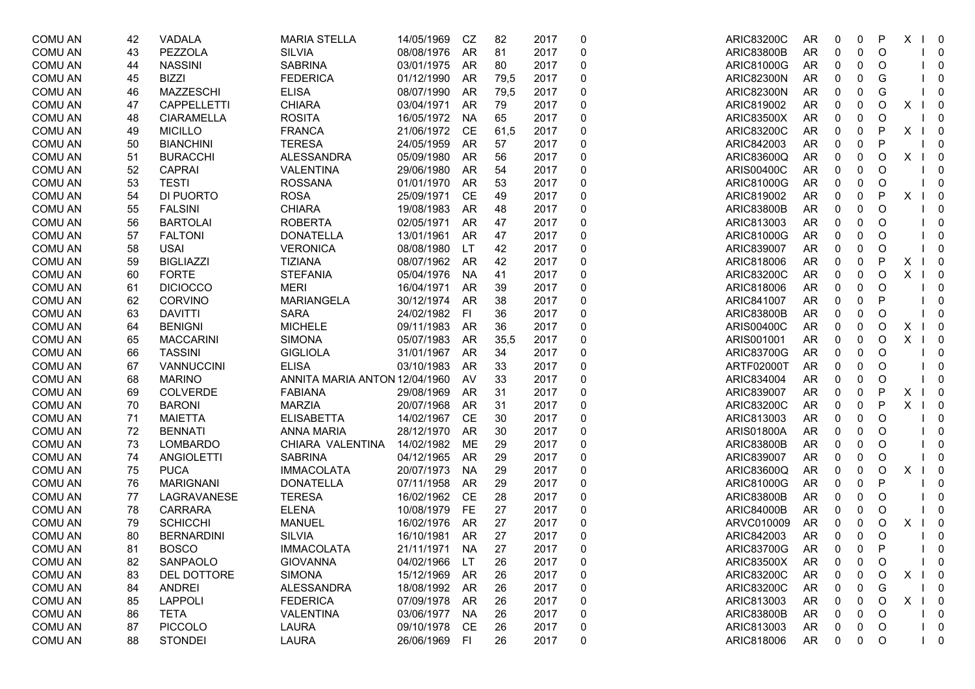| <b>COMU AN</b> | 42 | VADALA            | <b>MARIA STELLA</b>           | 14/05/1969 | CZ        | 82   | 2017 | 0 | <b>ARIC83200C</b> | AR        | 0           | 0           | P       | X<br>$\perp$ | $\overline{\phantom{0}}$ |
|----------------|----|-------------------|-------------------------------|------------|-----------|------|------|---|-------------------|-----------|-------------|-------------|---------|--------------|--------------------------|
| <b>COMU AN</b> | 43 | PEZZOLA           | <b>SILVIA</b>                 | 08/08/1976 | AR        | 81   | 2017 | 0 | <b>ARIC83800B</b> | AR        | 0           | 0           | O       |              | $\overline{0}$           |
| <b>COMU AN</b> | 44 | <b>NASSINI</b>    | <b>SABRINA</b>                | 03/01/1975 | AR        | 80   | 2017 | 0 | ARIC81000G        | AR        | 0           | 0           | O       |              | $\mathbf 0$              |
| <b>COMU AN</b> | 45 | <b>BIZZI</b>      | <b>FEDERICA</b>               | 01/12/1990 | AR        | 79,5 | 2017 | 0 | <b>ARIC82300N</b> | AR        | 0           | 0           | G       |              | 0                        |
| <b>COMU AN</b> | 46 | MAZZESCHI         | <b>ELISA</b>                  | 08/07/1990 | AR        | 79,5 | 2017 | 0 | <b>ARIC82300N</b> | AR        | 0           | 0           | G       |              | 0                        |
| <b>COMU AN</b> | 47 | CAPPELLETTI       | <b>CHIARA</b>                 | 03/04/1971 | AR        | 79   | 2017 | 0 | ARIC819002        | AR        | 0           | 0           | O       | X            | $\overline{\phantom{0}}$ |
| <b>COMU AN</b> | 48 | <b>CIARAMELLA</b> | <b>ROSITA</b>                 | 16/05/1972 | <b>NA</b> | 65   | 2017 | 0 | <b>ARIC83500X</b> | AR        | 0           | 0           | O       |              | - 0                      |
| <b>COMU AN</b> | 49 | <b>MICILLO</b>    | <b>FRANCA</b>                 | 21/06/1972 | CE        | 61,5 | 2017 | 0 | <b>ARIC83200C</b> | AR        | 0           | 0           | P       | X            | $\overline{\mathbf{0}}$  |
| <b>COMU AN</b> | 50 | <b>BIANCHINI</b>  | <b>TERESA</b>                 | 24/05/1959 | <b>AR</b> | 57   | 2017 | 0 | ARIC842003        | <b>AR</b> | 0           | 0           | P       |              | $\overline{0}$           |
| <b>COMU AN</b> | 51 | <b>BURACCHI</b>   | <b>ALESSANDRA</b>             | 05/09/1980 | <b>AR</b> | 56   | 2017 | 0 | ARIC83600Q        | <b>AR</b> | 0           | 0           | O       | X            | $\overline{\phantom{0}}$ |
| <b>COMU AN</b> | 52 | <b>CAPRAI</b>     | <b>VALENTINA</b>              | 29/06/1980 | AR        | 54   | 2017 | 0 | <b>ARIS00400C</b> | AR        | 0           | $\pmb{0}$   | O       |              | $\overline{0}$           |
| <b>COMU AN</b> | 53 | <b>TESTI</b>      | <b>ROSSANA</b>                | 01/01/1970 | AR        | 53   | 2017 | 0 | ARIC81000G        | AR        | 0           | 0           | O       |              | $\overline{\mathbf{0}}$  |
| <b>COMU AN</b> | 54 | DI PUORTO         | <b>ROSA</b>                   | 25/09/1971 | CE        | 49   | 2017 | 0 | ARIC819002        | AR        | 0           | 0           | P       | X            | $\overline{\mathbf{0}}$  |
| <b>COMU AN</b> | 55 | <b>FALSINI</b>    | <b>CHIARA</b>                 | 19/08/1983 | AR        | 48   | 2017 | 0 | <b>ARIC83800B</b> | <b>AR</b> | 0           | 0           | O       |              | $\mathbf 0$              |
| <b>COMU AN</b> | 56 | <b>BARTOLAI</b>   | <b>ROBERTA</b>                | 02/05/1971 | AR        | 47   | 2017 | 0 | ARIC813003        | AR        | 0           | 0           | O       |              | 0                        |
| <b>COMU AN</b> | 57 | <b>FALTONI</b>    | <b>DONATELLA</b>              | 13/01/1961 | AR        | 47   | 2017 | 0 | ARIC81000G        | AR        | 0           | 0           | O       |              | 0                        |
| <b>COMU AN</b> | 58 | <b>USAI</b>       | <b>VERONICA</b>               | 08/08/1980 | <b>LT</b> | 42   | 2017 | 0 | ARIC839007        | <b>AR</b> | 0           | 0           | O       |              | $\Omega$                 |
| <b>COMU AN</b> | 59 | <b>BIGLIAZZI</b>  | <b>TIZIANA</b>                | 08/07/1962 | AR        | 42   | 2017 | 0 | ARIC818006        | <b>AR</b> | 0           | $\mathbf 0$ | P       | X            | $\overline{\mathbf{0}}$  |
| <b>COMU AN</b> | 60 | <b>FORTE</b>      | <b>STEFANIA</b>               | 05/04/1976 | <b>NA</b> | 41   | 2017 | 0 | <b>ARIC83200C</b> | AR        | 0           | 0           | O       | X            | $\overline{\phantom{0}}$ |
| <b>COMU AN</b> | 61 | <b>DICIOCCO</b>   | <b>MERI</b>                   | 16/04/1971 | AR        | 39   | 2017 | 0 | ARIC818006        | AR        | 0           | 0           | O       |              | $\overline{0}$           |
| <b>COMU AN</b> | 62 | <b>CORVINO</b>    | <b>MARIANGELA</b>             | 30/12/1974 | AR        | 38   | 2017 | 0 | ARIC841007        | AR        | 0           | 0           | P       |              | 0                        |
| <b>COMU AN</b> | 63 | <b>DAVITTI</b>    | <b>SARA</b>                   | 24/02/1982 | FI        | 36   | 2017 | 0 | <b>ARIC83800B</b> | <b>AR</b> | 0           | 0           | O       |              | 0                        |
| <b>COMU AN</b> | 64 | <b>BENIGNI</b>    | <b>MICHELE</b>                | 09/11/1983 | AR        | 36   | 2017 | 0 | <b>ARIS00400C</b> | AR        | 0           | 0           | O       | X            | $\overline{\mathbf{0}}$  |
| <b>COMU AN</b> | 65 | <b>MACCARINI</b>  | <b>SIMONA</b>                 | 05/07/1983 | AR        | 35,5 | 2017 | 0 | ARIS001001        | AR        | 0           | 0           | O       | X            | $\overline{\phantom{0}}$ |
| <b>COMU AN</b> | 66 | <b>TASSINI</b>    | <b>GIGLIOLA</b>               | 31/01/1967 | AR        | 34   | 2017 | 0 | <b>ARIC83700G</b> | <b>AR</b> | 0           | $\mathbf 0$ | $\circ$ |              | $\mathbf 0$              |
| <b>COMU AN</b> | 67 | VANNUCCINI        | <b>ELISA</b>                  | 03/10/1983 | <b>AR</b> | 33   | 2017 | 0 | ARTF02000T        | <b>AR</b> | 0           | $\mathbf 0$ | O       |              | 0                        |
| <b>COMU AN</b> | 68 | <b>MARINO</b>     | ANNITA MARIA ANTON 12/04/1960 |            | AV        | 33   | 2017 | 0 | ARIC834004        | AR        | 0           | $\pmb{0}$   | O       |              | $\overline{0}$           |
| <b>COMU AN</b> | 69 | <b>COLVERDE</b>   | <b>FABIANA</b>                | 29/08/1969 | AR        | 31   | 2017 | 0 | ARIC839007        | <b>AR</b> | 0           | $\pmb{0}$   | P       | X            | $\overline{\mathbf{0}}$  |
| <b>COMU AN</b> | 70 | <b>BARONI</b>     | <b>MARZIA</b>                 | 20/07/1968 | AR        | 31   | 2017 | 0 | <b>ARIC83200C</b> | AR        | 0           | 0           | P       | X            | $\overline{\mathbf{0}}$  |
| <b>COMU AN</b> | 71 | <b>MAIETTA</b>    | <b>ELISABETTA</b>             | 14/02/1967 | CE        | 30   | 2017 | 0 | ARIC813003        | <b>AR</b> | 0           | 0           | O       |              | 0                        |
| <b>COMU AN</b> | 72 | <b>BENNATI</b>    | <b>ANNA MARIA</b>             | 28/12/1970 | AR        | 30   | 2017 | 0 | <b>ARIS01800A</b> | <b>AR</b> | 0           | 0           | O       |              | 0                        |
| <b>COMU AN</b> | 73 | <b>LOMBARDO</b>   | CHIARA VALENTINA              | 14/02/1982 | ME        | 29   | 2017 | 0 | <b>ARIC83800B</b> | AR        | 0           | 0           | O       |              | 0                        |
| <b>COMU AN</b> | 74 | <b>ANGIOLETTI</b> | <b>SABRINA</b>                | 04/12/1965 | AR        | 29   | 2017 | 0 | ARIC839007        | AR        | 0           | 0           | O       |              | 0                        |
| <b>COMU AN</b> | 75 | <b>PUCA</b>       | <b>IMMACOLATA</b>             | 20/07/1973 | <b>NA</b> | 29   | 2017 | 0 | ARIC83600Q        | <b>AR</b> | 0           | 0           | O       | X            | - 0                      |
| <b>COMU AN</b> | 76 | <b>MARIGNANI</b>  | <b>DONATELLA</b>              | 07/11/1958 | AR        | 29   | 2017 | 0 | <b>ARIC81000G</b> | <b>AR</b> | 0           | 0           | P       |              | 0                        |
| <b>COMU AN</b> | 77 | LAGRAVANESE       | <b>TERESA</b>                 | 16/02/1962 | CE        | 28   | 2017 | 0 | <b>ARIC83800B</b> | AR        | 0           | 0           | O       |              | $\overline{0}$           |
| <b>COMU AN</b> | 78 | <b>CARRARA</b>    | <b>ELENA</b>                  | 10/08/1979 | <b>FE</b> | 27   | 2017 | 0 | <b>ARIC84000B</b> | AR        | 0           | 0           | O       |              | $\overline{0}$           |
| <b>COMU AN</b> | 79 | <b>SCHICCHI</b>   | <b>MANUEL</b>                 | 16/02/1976 | AR        | 27   | 2017 | 0 | ARVC010009        | AR        | 0           | 0           | O       | Χ            | $\overline{\mathbf{0}}$  |
| <b>COMU AN</b> | 80 | <b>BERNARDINI</b> | <b>SILVIA</b>                 | 16/10/1981 | AR        | 27   | 2017 | 0 | ARIC842003        | AR        | 0           | 0           | O       |              | $\mathbf 0$              |
| COMU AN        | 81 | <b>BOSCO</b>      | <b>IMMACOLATA</b>             | 21/11/1971 | NA        | 27   | 2017 | 0 | <b>ARIC83700G</b> | <b>AR</b> | $\mathbf 0$ | 0           | P       |              | 0                        |
| <b>COMU AN</b> | 82 | SANPAOLO          | <b>GIOVANNA</b>               | 04/02/1966 | LT        | 26   | 2017 | 0 | <b>ARIC83500X</b> | AR        | 0           | 0           | O       |              | $\mathbf 0$              |
| <b>COMU AN</b> | 83 | DEL DOTTORE       | <b>SIMONA</b>                 | 15/12/1969 | AR        | 26   | 2017 | 0 | <b>ARIC83200C</b> | AR        |             | 0           | O       | X            | $1 \quad 0$              |
| <b>COMU AN</b> | 84 | ANDREI            | <b>ALESSANDRA</b>             | 18/08/1992 | AR        | 26   | 2017 | 0 | <b>ARIC83200C</b> | AR        | 0           | 0           | G       |              | $\overline{\mathbf{0}}$  |
| <b>COMU AN</b> | 85 | <b>LAPPOLI</b>    | <b>FEDERICA</b>               | 07/09/1978 | AR        | 26   | 2017 | 0 | ARIC813003        | AR        | 0           | 0           | O       | X            | $1 \quad 0$              |
| <b>COMU AN</b> | 86 | <b>TETA</b>       | VALENTINA                     | 03/06/1977 | NA        | 26   | 2017 | 0 | <b>ARIC83800B</b> | AR        | 0           | 0           | O       |              | $\bf{0}$                 |
| <b>COMU AN</b> | 87 | <b>PICCOLO</b>    | <b>LAURA</b>                  | 09/10/1978 | CE        | 26   | 2017 | 0 | ARIC813003        | AR        | 0           | 0           | O       |              | $\overline{\mathbf{0}}$  |
| <b>COMU AN</b> | 88 | <b>STONDEI</b>    | <b>LAURA</b>                  | 26/06/1969 | FI.       | 26   | 2017 | 0 | ARIC818006        | AR        | 0           | 0           | O       |              | $1 \quad 0$              |
|                |    |                   |                               |            |           |      |      |   |                   |           |             |             |         |              |                          |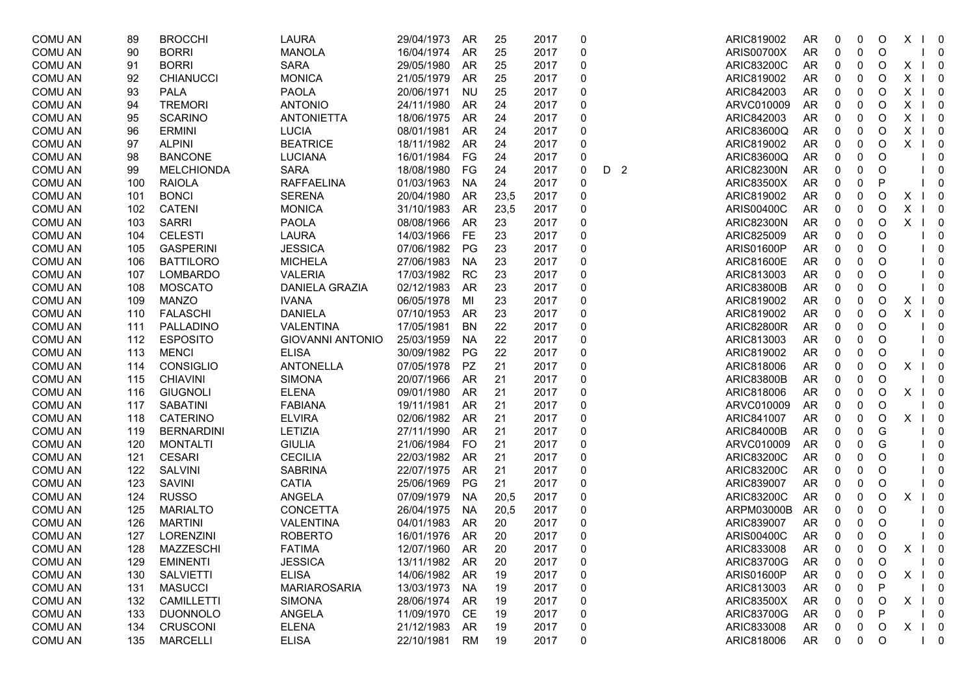| <b>COMU AN</b> | 89  | <b>BROCCHI</b>    | <b>LAURA</b>            | 29/04/1973    | AR        | 25   | 2017 | 0        |     | ARIC819002        | <b>AR</b> | 0 | 0 | O            | X | $\overline{\mathbf{0}}$                 |
|----------------|-----|-------------------|-------------------------|---------------|-----------|------|------|----------|-----|-------------------|-----------|---|---|--------------|---|-----------------------------------------|
| <b>COMU AN</b> | 90  | <b>BORRI</b>      | <b>MANOLA</b>           | 16/04/1974    | AR        | 25   | 2017 | 0        |     | <b>ARIS00700X</b> | <b>AR</b> | 0 | 0 | O            |   | $\overline{\phantom{0}}$                |
| <b>COMU AN</b> | 91  | <b>BORRI</b>      | <b>SARA</b>             | 29/05/1980    | AR        | 25   | 2017 | 0        |     | <b>ARIC83200C</b> | <b>AR</b> | 0 | 0 | O            | X | $1 \quad 0$                             |
| <b>COMU AN</b> | 92  | <b>CHIANUCCI</b>  | <b>MONICA</b>           | 21/05/1979    | AR        | 25   | 2017 | 0        |     | ARIC819002        | <b>AR</b> | 0 | 0 | O            | X | $1 \quad 0$                             |
| <b>COMU AN</b> | 93  | <b>PALA</b>       | <b>PAOLA</b>            | 20/06/1971    | <b>NU</b> | 25   | 2017 | 0        |     | ARIC842003        | <b>AR</b> | 0 | 0 | O            | X | $1 \quad 0$                             |
| <b>COMU AN</b> | 94  | <b>TREMORI</b>    | <b>ANTONIO</b>          | 24/11/1980    | AR        | 24   | 2017 | 0        |     | ARVC010009        | <b>AR</b> | 0 | 0 | O            | X | $1 \quad 0$                             |
| <b>COMU AN</b> | 95  | <b>SCARINO</b>    | <b>ANTONIETTA</b>       | 18/06/1975    | AR        | 24   | 2017 | 0        |     | ARIC842003        | AR        | 0 | 0 | O            | X | $\overline{\phantom{0}}$                |
| <b>COMU AN</b> | 96  | <b>ERMINI</b>     | <b>LUCIA</b>            | 08/01/1981    | AR        | 24   | 2017 | 0        |     | ARIC83600Q        | <b>AR</b> | 0 | 0 | O            | X | $\overline{\phantom{0}}$                |
| <b>COMU AN</b> | 97  | <b>ALPINI</b>     | <b>BEATRICE</b>         | 18/11/1982    | AR        | 24   | 2017 | 0        |     | ARIC819002        | <b>AR</b> | 0 | 0 | O            | Χ | $\overline{\mathbf{0}}$                 |
| <b>COMU AN</b> | 98  | <b>BANCONE</b>    | <b>LUCIANA</b>          | 16/01/1984    | FG        | 24   | 2017 | 0        |     | ARIC83600Q        | <b>AR</b> | 0 | 0 | O            |   | 0                                       |
| <b>COMU AN</b> | 99  | <b>MELCHIONDA</b> | <b>SARA</b>             | 18/08/1980    | FG        | 24   | 2017 | 0        | D 2 | <b>ARIC82300N</b> | <b>AR</b> | 0 | 0 | O            |   | 0                                       |
| <b>COMU AN</b> | 100 | <b>RAIOLA</b>     | <b>RAFFAELINA</b>       | 01/03/1963    | <b>NA</b> | 24   | 2017 | 0        |     | <b>ARIC83500X</b> | <b>AR</b> | 0 | 0 | P            |   | 0                                       |
| <b>COMU AN</b> | 101 | <b>BONCI</b>      | <b>SERENA</b>           | 20/04/1980    | AR        | 23,5 | 2017 | 0        |     | ARIC819002        | AR        | 0 | 0 | O            | Х | $\overline{\phantom{0}}$                |
| <b>COMU AN</b> | 102 | <b>CATENI</b>     | <b>MONICA</b>           | 31/10/1983    | AR        | 23,5 | 2017 | 0        |     | <b>ARIS00400C</b> | <b>AR</b> | 0 | 0 | O            | X | $1 \quad 0$                             |
| <b>COMU AN</b> | 103 | <b>SARRI</b>      | <b>PAOLA</b>            | 08/08/1966    | AR        | 23   | 2017 | 0        |     | <b>ARIC82300N</b> | AR        | 0 | 0 | O            | X | $\overline{\phantom{0}}$                |
| <b>COMU AN</b> | 104 | <b>CELESTI</b>    | <b>LAURA</b>            | 14/03/1966    | <b>FE</b> | 23   | 2017 | 0        |     | ARIC825009        | AR        | 0 | 0 | O            |   | 0                                       |
| <b>COMU AN</b> | 105 | <b>GASPERINI</b>  | <b>JESSICA</b>          | 07/06/1982    | PG        | 23   | 2017 | 0        |     | ARIS01600P        | AR        | 0 | 0 | O            |   | 0                                       |
| <b>COMU AN</b> | 106 | <b>BATTILORO</b>  | <b>MICHELA</b>          | 27/06/1983    | <b>NA</b> | 23   | 2017 | 0        |     | <b>ARIC81600E</b> | <b>AR</b> | 0 | 0 | O            |   | 0                                       |
| <b>COMU AN</b> | 107 | <b>LOMBARDO</b>   | <b>VALERIA</b>          | 17/03/1982    | RC        | 23   | 2017 | 0        |     | ARIC813003        | <b>AR</b> | 0 | 0 | O            |   | 0                                       |
| <b>COMU AN</b> | 108 | <b>MOSCATO</b>    | DANIELA GRAZIA          | 02/12/1983    | AR        | 23   | 2017 | 0        |     | <b>ARIC83800B</b> | AR        | 0 | 0 | O            |   | 0                                       |
| <b>COMU AN</b> | 109 | <b>MANZO</b>      | <b>IVANA</b>            | 06/05/1978    | MI        | 23   | 2017 | 0        |     | ARIC819002        | <b>AR</b> | 0 | 0 | O            | X | $\overline{\phantom{0}}$                |
| <b>COMU AN</b> | 110 | <b>FALASCHI</b>   | <b>DANIELA</b>          | 07/10/1953    | AR        | 23   | 2017 | 0        |     | ARIC819002        | <b>AR</b> | 0 | 0 | O            | X | $\overline{\mathbf{0}}$                 |
| <b>COMU AN</b> | 111 | PALLADINO         | VALENTINA               | 17/05/1981    | <b>BN</b> | 22   | 2017 | 0        |     | <b>ARIC82800R</b> | <b>AR</b> | 0 | 0 | O            |   | 0                                       |
| <b>COMU AN</b> | 112 | <b>ESPOSITO</b>   | <b>GIOVANNI ANTONIO</b> | 25/03/1959    | NA        | 22   | 2017 |          |     | ARIC813003        | AR        | 0 | 0 | O            |   | $\mathbf{0}$                            |
| <b>COMU AN</b> | 113 | <b>MENCI</b>      | <b>ELISA</b>            | 30/09/1982    | PG        | 22   | 2017 | 0        |     | ARIC819002        | <b>AR</b> | 0 | 0 | O            |   | $\mathbf{0}$                            |
| <b>COMU AN</b> | 114 | CONSIGLIO         | <b>ANTONELLA</b>        | 07/05/1978    | PZ        | 21   | 2017 | 0        |     | ARIC818006        | <b>AR</b> | 0 | 0 | O            | х | 0                                       |
| <b>COMU AN</b> | 115 | <b>CHIAVINI</b>   | <b>SIMONA</b>           | 20/07/1966    | AR        | 21   | 2017 |          |     | <b>ARIC83800B</b> | <b>AR</b> | 0 | 0 | O            |   | 0                                       |
| <b>COMU AN</b> | 116 | <b>GIUGNOLI</b>   | <b>ELENA</b>            | 09/01/1980    | AR        | 21   | 2017 | 0        |     | ARIC818006        | AR        | 0 | 0 | O            | X | $\overline{\phantom{0}}$                |
| <b>COMU AN</b> | 117 | <b>SABATINI</b>   | <b>FABIANA</b>          | 19/11/1981    | AR        | 21   | 2017 | 0        |     | ARVC010009        | <b>AR</b> | 0 | 0 | O            |   | $\overline{\mathbf{0}}$                 |
| <b>COMU AN</b> | 118 | <b>CATERINO</b>   | <b>ELVIRA</b>           | 02/06/1982    | AR        | 21   | 2017 | 0        |     | ARIC841007        | <b>AR</b> | 0 | 0 | O            | X | $\overline{\phantom{0}}$                |
| <b>COMU AN</b> | 119 | <b>BERNARDINI</b> | LETIZIA                 | 27/11/1990    | AR        | 21   | 2017 | 0        |     | <b>ARIC84000B</b> | <b>AR</b> | 0 | 0 | G            |   | 0                                       |
| <b>COMU AN</b> | 120 | <b>MONTALTI</b>   | <b>GIULIA</b>           | 21/06/1984    | <b>FO</b> | 21   | 2017 | 0        |     | ARVC010009        | AR        | 0 | 0 | G            |   | 0                                       |
| <b>COMU AN</b> | 121 | <b>CESARI</b>     | <b>CECILIA</b>          | 22/03/1982    | AR        | 21   | 2017 | 0        |     | <b>ARIC83200C</b> | <b>AR</b> | 0 | 0 | O            |   | 0                                       |
| <b>COMU AN</b> | 122 | SALVINI           | <b>SABRINA</b>          | 22/07/1975    | AR        | 21   | 2017 | 0        |     | <b>ARIC83200C</b> | <b>AR</b> | 0 | 0 | O            |   | 0                                       |
| <b>COMU AN</b> | 123 | <b>SAVINI</b>     | <b>CATIA</b>            | 25/06/1969    | PG        | 21   | 2017 | 0        |     | ARIC839007        | <b>AR</b> | 0 | 0 | O            |   | 0                                       |
| <b>COMU AN</b> | 124 | <b>RUSSO</b>      | ANGELA                  | 07/09/1979    | <b>NA</b> | 20,5 | 2017 | 0        |     | <b>ARIC83200C</b> | <b>AR</b> | 0 | 0 | O            | X | $\overline{\mathbf{0}}$                 |
| <b>COMU AN</b> | 125 | <b>MARIALTO</b>   | CONCETTA                | 26/04/1975    | <b>NA</b> | 20,5 | 2017 | 0        |     | ARPM03000B        | <b>AR</b> | 0 | 0 | O            |   | 0                                       |
| <b>COMU AN</b> | 126 | <b>MARTINI</b>    | VALENTINA               | 04/01/1983    | AR        | 20   | 2017 | 0        |     | ARIC839007        | AR        | 0 | 0 | O            |   | 0                                       |
| <b>COMU AN</b> | 127 | <b>LORENZINI</b>  | <b>ROBERTO</b>          | 16/01/1976    | AR        | 20   | 2017 |          |     | <b>ARIS00400C</b> | <b>AR</b> | 0 | 0 | O            |   | $\mathbf 0$                             |
| COMU AN        | 128 | MAZZESCHI         | <b>FATIMA</b>           | 12/07/1960 AR |           | 20   | 2017 | $\Omega$ |     | ARIC833008        | AR.       | 0 | 0 | $\circ$      | X | 0                                       |
| <b>COMU AN</b> | 129 | <b>EMINENTI</b>   | <b>JESSICA</b>          | 13/11/1982    | AR        | 20   | 2017 | 0        |     | ARIC83700G        | <b>AR</b> | 0 | 0 | O            |   | $\overline{0}$                          |
| <b>COMU AN</b> | 130 | <b>SALVIETTI</b>  | <b>ELISA</b>            | 14/06/1982    | AR        | 19   | 2017 | 0        |     | ARIS01600P        | <b>AR</b> | 0 | 0 | O            | Χ | $\overline{\phantom{0}}$                |
| <b>COMU AN</b> | 131 | <b>MASUCCI</b>    | <b>MARIAROSARIA</b>     | 13/03/1973    | NA        | 19   | 2017 | 0        |     | ARIC813003        | AR        | 0 | 0 | P            |   | 0                                       |
| <b>COMU AN</b> | 132 | CAMILLETTI        | <b>SIMONA</b>           | 28/06/1974    | AR        | 19   | 2017 | 0        |     | <b>ARIC83500X</b> | AR        | 0 | 0 | $\circ$      | X | $\begin{bmatrix} 1 & 0 \end{bmatrix}$   |
| <b>COMU AN</b> | 133 | <b>DUONNOLO</b>   | ANGELA                  | 11/09/1970    | CE        | 19   | 2017 | 0        |     | <b>ARIC83700G</b> | AR        | 0 | 0 | $\mathsf{P}$ |   | $\overline{0}$                          |
| <b>COMU AN</b> | 134 | <b>CRUSCONI</b>   | <b>ELENA</b>            | 21/12/1983    | AR        | 19   | 2017 | 0        |     | ARIC833008        | AR        | 0 | 0 | O            | X | $1 \quad 0$                             |
| <b>COMU AN</b> | 135 | <b>MARCELLI</b>   | <b>ELISA</b>            | 22/10/1981    | RM        | 19   | 2017 | 0        |     | ARIC818006        | AR        | 0 | 0 | $\circ$      |   | $\overline{\mathbf{0}}$<br>$\mathbf{L}$ |
|                |     |                   |                         |               |           |      |      |          |     |                   |           |   |   |              |   |                                         |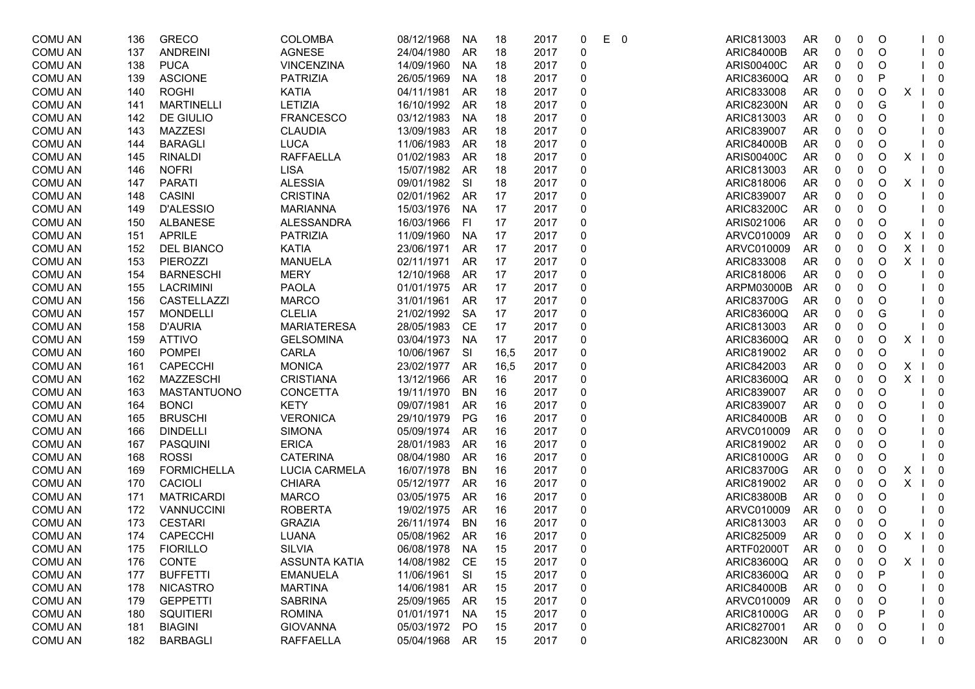| <b>COMU AN</b> | 136 | <b>GRECO</b>       | <b>COLOMBA</b>       | 08/12/1968    | <b>NA</b> | 18   | 2017 | 0                | E. | - 0 | ARIC813003        | <b>AR</b> | 0         | 0 | O           |   | $\overline{\mathbf{0}}$               |
|----------------|-----|--------------------|----------------------|---------------|-----------|------|------|------------------|----|-----|-------------------|-----------|-----------|---|-------------|---|---------------------------------------|
| <b>COMU AN</b> | 137 | <b>ANDREINI</b>    | <b>AGNESE</b>        | 24/04/1980    | AR        | 18   | 2017 | 0                |    |     | <b>ARIC84000B</b> | AR        | 0         | 0 | O           |   | $\begin{bmatrix} 1 & 0 \end{bmatrix}$ |
| <b>COMU AN</b> | 138 | <b>PUCA</b>        | <b>VINCENZINA</b>    | 14/09/1960    | <b>NA</b> | 18   | 2017 | $\pmb{0}$        |    |     | <b>ARIS00400C</b> | AR        | 0         | 0 | O           |   | $\begin{bmatrix} 1 & 0 \end{bmatrix}$ |
| <b>COMU AN</b> | 139 | <b>ASCIONE</b>     | <b>PATRIZIA</b>      | 26/05/1969    | <b>NA</b> | 18   | 2017 | 0                |    |     | ARIC83600Q        | AR        | 0         | 0 | P           |   | $\overline{\mathbf{0}}$               |
| <b>COMU AN</b> | 140 | <b>ROGHI</b>       | <b>KATIA</b>         | 04/11/1981    | AR        | 18   | 2017 | 0                |    |     | ARIC833008        | AR        | 0         | 0 | O           | х | $\overline{\mathbf{0}}$               |
| <b>COMU AN</b> | 141 | <b>MARTINELLI</b>  | <b>LETIZIA</b>       | 16/10/1992    | AR        | 18   | 2017 | 0                |    |     | <b>ARIC82300N</b> | AR        | 0         | 0 | G           |   | 0                                     |
| <b>COMU AN</b> | 142 | DE GIULIO          | <b>FRANCESCO</b>     | 03/12/1983    | NA        | 18   | 2017 | 0                |    |     | ARIC813003        | AR        | 0         | 0 | O           |   | $\mathbf 0$                           |
| <b>COMU AN</b> | 143 | <b>MAZZESI</b>     | <b>CLAUDIA</b>       | 13/09/1983    | AR        | 18   | 2017 | 0                |    |     | ARIC839007        | <b>AR</b> | 0         | 0 | O           |   | 0                                     |
| <b>COMU AN</b> | 144 | <b>BARAGLI</b>     | <b>LUCA</b>          | 11/06/1983    | AR        | 18   | 2017 | 0                |    |     | <b>ARIC84000B</b> | AR        | 0         | 0 | O           |   | 0                                     |
| <b>COMU AN</b> | 145 | <b>RINALDI</b>     | <b>RAFFAELLA</b>     | 01/02/1983    | AR        | 18   | 2017 | 0                |    |     | <b>ARIS00400C</b> | <b>AR</b> | 0         | 0 | O           | Χ | $\overline{\phantom{0}}$              |
| <b>COMU AN</b> | 146 | <b>NOFRI</b>       | <b>LISA</b>          | 15/07/1982    | AR        | 18   | 2017 | 0                |    |     | ARIC813003        | AR        | 0         | 0 | O           |   | $\overline{\mathbf{0}}$               |
| <b>COMU AN</b> | 147 | <b>PARATI</b>      | <b>ALESSIA</b>       | 09/01/1982    | <b>SI</b> | 18   | 2017 | 0                |    |     | ARIC818006        | AR        | 0         | 0 | O           | X | $\begin{bmatrix} 1 & 0 \end{bmatrix}$ |
| <b>COMU AN</b> | 148 | <b>CASINI</b>      | <b>CRISTINA</b>      | 02/01/1962    | AR        | 17   | 2017 | 0                |    |     | ARIC839007        | AR        | 0         | 0 | O           |   | $\mathbf 0$                           |
| <b>COMU AN</b> | 149 | <b>D'ALESSIO</b>   | <b>MARIANNA</b>      | 15/03/1976    | <b>NA</b> | 17   | 2017 | 0                |    |     | <b>ARIC83200C</b> | AR        | 0         | 0 | O           |   | $\mathbf 0$                           |
| <b>COMU AN</b> | 150 | ALBANESE           | ALESSANDRA           | 16/03/1966    | FI        | 17   | 2017 | 0                |    |     | ARIS021006        | AR        | 0         | 0 | O           |   | $\overline{0}$                        |
| <b>COMU AN</b> | 151 | <b>APRILE</b>      | <b>PATRIZIA</b>      | 11/09/1960    | <b>NA</b> | 17   | 2017 | 0                |    |     | ARVC010009        | AR        | 0         | 0 | O           | X | $\begin{bmatrix} 1 & 0 \end{bmatrix}$ |
| <b>COMU AN</b> | 152 | <b>DEL BIANCO</b>  | <b>KATIA</b>         | 23/06/1971    | AR        | 17   | 2017 | 0                |    |     | ARVC010009        | <b>AR</b> | 0         | 0 | $\mathsf O$ | X | $1 \quad 0$                           |
| <b>COMU AN</b> | 153 | PIEROZZI           | <b>MANUELA</b>       | 02/11/1971    | AR        | 17   | 2017 | 0                |    |     | ARIC833008        | AR        | 0         | 0 | O           | X | $1 \quad 0$                           |
| <b>COMU AN</b> | 154 | <b>BARNESCHI</b>   | <b>MERY</b>          | 12/10/1968    | AR        | 17   | 2017 | 0                |    |     | ARIC818006        | AR        | 0         | 0 | O           |   | $\overline{\mathbf{0}}$               |
| <b>COMU AN</b> | 155 | <b>LACRIMINI</b>   | <b>PAOLA</b>         | 01/01/1975    | AR        | 17   | 2017 | 0                |    |     | ARPM03000B        | AR        | $\pmb{0}$ | 0 | O           |   | $\overline{\mathbf{0}}$               |
| <b>COMU AN</b> | 156 | CASTELLAZZI        | <b>MARCO</b>         | 31/01/1961    | AR        | 17   | 2017 | 0                |    |     | <b>ARIC83700G</b> | <b>AR</b> | 0         | 0 | O           |   | $\overline{\mathbf{0}}$               |
| <b>COMU AN</b> | 157 | <b>MONDELLI</b>    | <b>CLELIA</b>        | 21/02/1992    | SA        | 17   | 2017 | 0                |    |     | ARIC83600Q        | AR        | 0         | 0 | G           |   | $\mathbf 0$                           |
| <b>COMU AN</b> | 158 | <b>D'AURIA</b>     | <b>MARIATERESA</b>   | 28/05/1983    | CE        | 17   | 2017 | 0                |    |     | ARIC813003        | AR        | 0         | 0 | O           |   | $\mathbf 0$                           |
| <b>COMU AN</b> | 159 | <b>ATTIVO</b>      | <b>GELSOMINA</b>     | 03/04/1973    | NA        | 17   | 2017 | 0                |    |     | ARIC83600Q        | AR        | 0         | 0 | O           | х | $\overline{\mathbf{0}}$               |
| <b>COMU AN</b> | 160 | <b>POMPEI</b>      | CARLA                | 10/06/1967    | <b>SI</b> | 16,5 | 2017 | 0                |    |     | ARIC819002        | AR        | 0         | 0 | Ο           |   | 0                                     |
| <b>COMU AN</b> | 161 | <b>CAPECCHI</b>    | <b>MONICA</b>        | 23/02/1977    | AR        | 16,5 | 2017 | 0                |    |     | ARIC842003        | <b>AR</b> | $\pmb{0}$ | 0 | O           | Χ | $\overline{\mathbf{0}}$               |
| <b>COMU AN</b> | 162 | MAZZESCHI          | <b>CRISTIANA</b>     | 13/12/1966    | AR        | 16   | 2017 | 0                |    |     | ARIC83600Q        | AR        | 0         | 0 | O           | X | $\overline{\phantom{0}}$              |
| <b>COMU AN</b> | 163 | <b>MASTANTUONO</b> | CONCETTA             | 19/11/1970    | BN        | 16   | 2017 | 0                |    |     | ARIC839007        | AR        | 0         | 0 | O           |   | $\overline{\mathbf{0}}$               |
| <b>COMU AN</b> | 164 | <b>BONCI</b>       | <b>KETY</b>          | 09/07/1981    | AR        | 16   | 2017 | 0                |    |     | ARIC839007        | AR        | 0         | 0 | O           |   | $\overline{0}$                        |
| <b>COMU AN</b> | 165 | <b>BRUSCHI</b>     | <b>VERONICA</b>      | 29/10/1979    | PG        | 16   | 2017 | 0                |    |     | <b>ARIC84000B</b> | AR        | 0         | 0 | O           |   | $\overline{\mathbf{0}}$               |
| <b>COMU AN</b> | 166 | <b>DINDELLI</b>    | <b>SIMONA</b>        | 05/09/1974    | AR        | 16   | 2017 | 0                |    |     | ARVC010009        | AR        | 0         | 0 | O           |   | $\mathbf 0$                           |
| <b>COMU AN</b> | 167 | <b>PASQUINI</b>    | <b>ERICA</b>         | 28/01/1983    | AR        | 16   | 2017 | 0                |    |     | ARIC819002        | AR        | 0         | 0 | O           |   | $\mathbf 0$                           |
| <b>COMU AN</b> | 168 | <b>ROSSI</b>       | <b>CATERINA</b>      | 08/04/1980    | AR        | 16   | 2017 | 0                |    |     | ARIC81000G        | AR        | 0         | 0 | O           |   | $\overline{0}$                        |
| <b>COMU AN</b> | 169 | <b>FORMICHELLA</b> | LUCIA CARMELA        | 16/07/1978    | <b>BN</b> | 16   | 2017 | 0                |    |     | <b>ARIC83700G</b> | <b>AR</b> | 0         | 0 | O           | X | $\overline{\phantom{0}}$              |
| <b>COMU AN</b> | 170 | <b>CACIOLI</b>     | <b>CHIARA</b>        | 05/12/1977    | AR        | 16   | 2017 | 0                |    |     | ARIC819002        | AR        | 0         | 0 | O           | X | $\overline{\phantom{0}}$              |
| <b>COMU AN</b> | 171 | <b>MATRICARDI</b>  | <b>MARCO</b>         | 03/05/1975    | AR        | 16   | 2017 | 0                |    |     | <b>ARIC83800B</b> | AR        | 0         | 0 | O           |   | $\overline{\mathbf{0}}$               |
| <b>COMU AN</b> | 172 | VANNUCCINI         | <b>ROBERTA</b>       | 19/02/1975    | AR        | 16   | 2017 | 0                |    |     | ARVC010009        | AR        | 0         | 0 | O           |   | $\mathbf 0$                           |
| <b>COMU AN</b> | 173 | <b>CESTARI</b>     | <b>GRAZIA</b>        | 26/11/1974    | BN        | 16   | 2017 | 0                |    |     | ARIC813003        | <b>AR</b> | 0         | 0 | O           |   | $\mathbf 0$                           |
| <b>COMU AN</b> | 174 | <b>CAPECCHI</b>    | LUANA                | 05/08/1962    | AR        | 16   | 2017 | 0                |    |     | ARIC825009        | <b>AR</b> | 0         | 0 | O           | X | $\overline{\mathbf{0}}$               |
| COMU AN        | 175 | <b>FIORILLO</b>    | SILVIA               | 06/08/1978 NA |           | 15   | 2017 | O                |    |     | ARTF02000T        | AR        | 0         | 0 | O           |   | $\Omega$                              |
| <b>COMU AN</b> | 176 | CONTE              | <b>ASSUNTA KATIA</b> | 14/08/1982    | CE        | 15   | 2017 | 0                |    |     | ARIC83600Q        | <b>AR</b> | 0         | 0 | $\circ$     | X | $\begin{bmatrix} 1 & 0 \end{bmatrix}$ |
| <b>COMU AN</b> | 177 | <b>BUFFETTI</b>    | <b>EMANUELA</b>      | 11/06/1961    | <b>SI</b> | 15   | 2017 | 0                |    |     | ARIC83600Q        | AR        | 0         | 0 | P           |   | 0                                     |
| <b>COMU AN</b> | 178 | <b>NICASTRO</b>    | <b>MARTINA</b>       | 14/06/1981    | AR        | 15   | 2017 | $\boldsymbol{0}$ |    |     | <b>ARIC84000B</b> | AR        | 0         | 0 | O           |   | $\overline{\mathbf{0}}$               |
| <b>COMU AN</b> | 179 | <b>GEPPETTI</b>    | <b>SABRINA</b>       | 25/09/1965    | AR        | 15   | 2017 | 0                |    |     | ARVC010009        | AR        | 0         | 0 | O           |   | $1 \quad 0$                           |
| <b>COMU AN</b> | 180 | <b>SQUITIERI</b>   | <b>ROMINA</b>        | 01/01/1971    | <b>NA</b> | 15   | 2017 | 0                |    |     | ARIC81000G        | AR        | 0         | 0 | P           |   | $1 \quad 0$                           |
| <b>COMU AN</b> | 181 | <b>BIAGINI</b>     | <b>GIOVANNA</b>      | 05/03/1972    | PO        | 15   | 2017 | $\boldsymbol{0}$ |    |     | ARIC827001        | AR        | 0         | 0 | $\circ$     |   | $1 \quad 0$                           |
| <b>COMU AN</b> | 182 | <b>BARBAGLI</b>    | <b>RAFFAELLA</b>     | 05/04/1968    | AR        | 15   | 2017 | 0                |    |     | <b>ARIC82300N</b> | AR        | 0         | 0 | O           |   | $1 \quad 0$                           |
|                |     |                    |                      |               |           |      |      |                  |    |     |                   |           |           |   |             |   |                                       |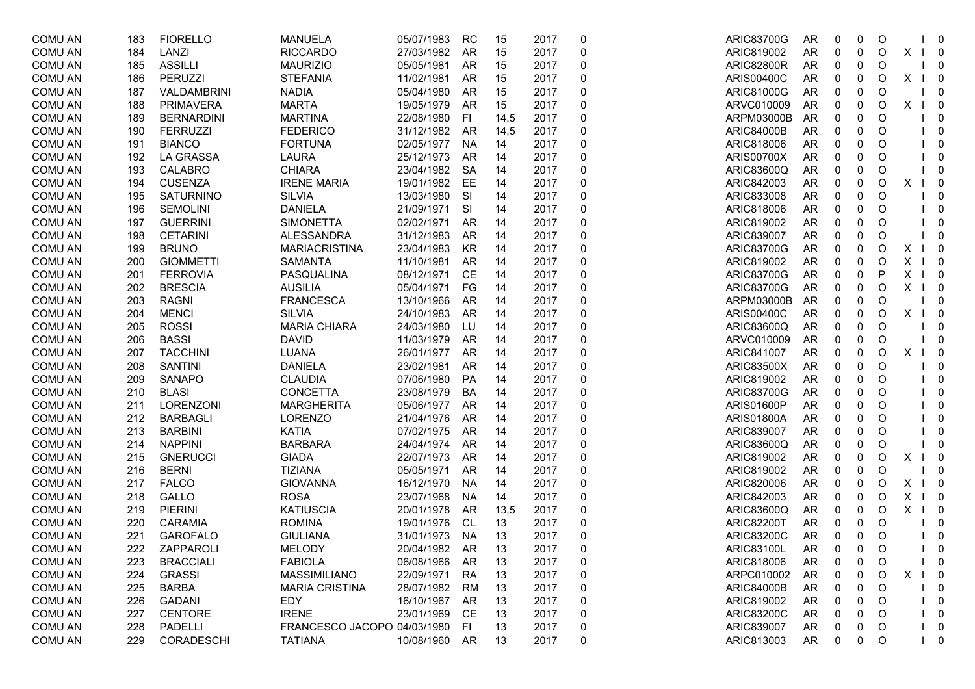| <b>COMU AN</b> | 183 | <b>FIORELLO</b>   | <b>MANUELA</b>              | 05/07/1983 | <b>RC</b> | 15   | 2017 | 0 | <b>ARIC83700G</b> | AR        | 0           | 0           | O       |   | - 0                                 |
|----------------|-----|-------------------|-----------------------------|------------|-----------|------|------|---|-------------------|-----------|-------------|-------------|---------|---|-------------------------------------|
| <b>COMU AN</b> | 184 | LANZI             | <b>RICCARDO</b>             | 27/03/1982 | AR        | 15   | 2017 | 0 | ARIC819002        | AR        | 0           | 0           | $\circ$ | X | $\overline{\phantom{0}}$            |
| <b>COMU AN</b> | 185 | <b>ASSILLI</b>    | <b>MAURIZIO</b>             | 05/05/1981 | AR        | 15   | 2017 | 0 | <b>ARIC82800R</b> | AR        | 0           | 0           | O       |   | - 0                                 |
| <b>COMU AN</b> | 186 | PERUZZI           | <b>STEFANIA</b>             | 11/02/1981 | AR        | 15   | 2017 | 0 | <b>ARIS00400C</b> | AR        | 0           | 0           | O       | X | $\overline{\phantom{0}}$            |
| <b>COMU AN</b> | 187 | VALDAMBRINI       | <b>NADIA</b>                | 05/04/1980 | AR        | 15   | 2017 | 0 | ARIC81000G        | AR        | 0           | 0           | O       |   | $\overline{0}$                      |
| <b>COMU AN</b> | 188 | <b>PRIMAVERA</b>  | <b>MARTA</b>                | 19/05/1979 | AR        | 15   | 2017 | 0 | ARVC010009        | AR        | 0           | 0           | O       | X | $\overline{\phantom{0}}$            |
| <b>COMU AN</b> | 189 | <b>BERNARDINI</b> | <b>MARTINA</b>              | 22/08/1980 | FI        | 14,5 | 2017 | 0 | ARPM03000B        | AR        | 0           | 0           | O       |   | 0                                   |
| <b>COMU AN</b> | 190 | <b>FERRUZZI</b>   | <b>FEDERICO</b>             | 31/12/1982 | AR        | 14,5 | 2017 | 0 | <b>ARIC84000B</b> | AR        | 0           | 0           | O       |   | 0                                   |
| <b>COMU AN</b> | 191 | <b>BIANCO</b>     | <b>FORTUNA</b>              | 02/05/1977 | <b>NA</b> | 14   | 2017 | 0 | ARIC818006        | AR        | 0           | 0           | O       |   | 0                                   |
| <b>COMU AN</b> | 192 | LA GRASSA         | <b>LAURA</b>                | 25/12/1973 | AR        | 14   | 2017 | 0 | <b>ARIS00700X</b> | AR        | 0           | $\pmb{0}$   | O       |   | 0                                   |
| <b>COMU AN</b> | 193 | <b>CALABRO</b>    | <b>CHIARA</b>               | 23/04/1982 | <b>SA</b> | 14   | 2017 | 0 | ARIC83600Q        | AR        | 0           | $\pmb{0}$   | O       |   | - 0                                 |
| <b>COMU AN</b> | 194 | <b>CUSENZA</b>    | <b>IRENE MARIA</b>          | 19/01/1982 | EE        | 14   | 2017 | 0 | ARIC842003        | AR        | 0           | 0           | O       | X | - 0                                 |
| <b>COMU AN</b> | 195 | SATURNINO         | <b>SILVIA</b>               | 13/03/1980 | <b>SI</b> | 14   | 2017 | 0 | ARIC833008        | AR        | 0           | 0           | O       |   | 0                                   |
| <b>COMU AN</b> | 196 | <b>SEMOLINI</b>   | <b>DANIELA</b>              | 21/09/1971 | <b>SI</b> | 14   | 2017 | 0 | ARIC818006        | AR        | 0           | 0           | O       |   | 0                                   |
| COMU AN        | 197 | <b>GUERRINI</b>   | <b>SIMONETTA</b>            | 02/02/1971 | AR        | 14   | 2017 | 0 | ARIC819002        | AR        | 0           | 0           | O       |   | 0                                   |
| <b>COMU AN</b> | 198 | <b>CETARINI</b>   | <b>ALESSANDRA</b>           | 31/12/1983 | <b>AR</b> | 14   | 2017 | 0 | ARIC839007        | AR        | 0           | 0           | O       |   | - 0                                 |
| <b>COMU AN</b> | 199 | <b>BRUNO</b>      | <b>MARIACRISTINA</b>        | 23/04/1983 | KR        | 14   | 2017 | 0 | <b>ARIC83700G</b> | AR        | 0           | 0           | O       | X | $\overline{\phantom{0}}$            |
| <b>COMU AN</b> | 200 | <b>GIOMMETTI</b>  | <b>SAMANTA</b>              | 11/10/1981 | AR        | 14   | 2017 | 0 | ARIC819002        | AR        | 0           | $\pmb{0}$   | O       | X | $\overline{\mathbf{0}}$             |
| <b>COMU AN</b> | 201 | <b>FERROVIA</b>   | PASQUALINA                  | 08/12/1971 | CE        | 14   | 2017 | 0 | <b>ARIC83700G</b> | <b>AR</b> | 0           | 0           | P       | X | $1 \quad 0$                         |
| <b>COMU AN</b> | 202 | <b>BRESCIA</b>    | <b>AUSILIA</b>              | 05/04/1971 | FG        | 14   | 2017 | 0 | <b>ARIC83700G</b> | AR        | 0           | $\pmb{0}$   | O       | X | $\overline{\phantom{0}}$            |
| <b>COMU AN</b> | 203 | <b>RAGNI</b>      | <b>FRANCESCA</b>            | 13/10/1966 | AR        | 14   | 2017 | 0 | ARPM03000B        | AR        | 0           | 0           | O       |   | $\overline{\mathbf{0}}$             |
| <b>COMU AN</b> | 204 | <b>MENCI</b>      | <b>SILVIA</b>               | 24/10/1983 | AR        | 14   | 2017 | 0 | ARIS00400C        | AR        | 0           | 0           | O       | X | $\overline{\phantom{0}}$            |
| <b>COMU AN</b> | 205 | <b>ROSSI</b>      | <b>MARIA CHIARA</b>         | 24/03/1980 | LU        | 14   | 2017 | 0 | ARIC83600Q        | AR        | 0           | 0           | O       |   | 0                                   |
| <b>COMU AN</b> | 206 | <b>BASSI</b>      | <b>DAVID</b>                | 11/03/1979 | AR        | 14   | 2017 | 0 | ARVC010009        | AR        | 0           | 0           | O       |   | 0                                   |
| <b>COMU AN</b> | 207 | <b>TACCHINI</b>   | <b>LUANA</b>                | 26/01/1977 | AR        | 14   | 2017 | 0 | ARIC841007        | AR        | 0           | $\pmb{0}$   | O       | X | $\overline{\mathbf{0}}$             |
| <b>COMU AN</b> | 208 | <b>SANTINI</b>    | <b>DANIELA</b>              | 23/02/1981 | <b>AR</b> | 14   | 2017 | 0 | <b>ARIC83500X</b> | AR        | 0           | $\pmb{0}$   | O       |   | 0                                   |
| <b>COMU AN</b> | 209 | <b>SANAPO</b>     | <b>CLAUDIA</b>              | 07/06/1980 | PA        | 14   | 2017 | 0 | ARIC819002        | AR        | 0           | 0           | O       |   | $\overline{\mathbf{0}}$             |
| <b>COMU AN</b> | 210 | <b>BLASI</b>      | CONCETTA                    | 23/08/1979 | BA        | 14   | 2017 | 0 | <b>ARIC83700G</b> | AR        | 0           | 0           | O       |   | $\overline{\mathbf{0}}$             |
| <b>COMU AN</b> | 211 | LORENZONI         | <b>MARGHERITA</b>           | 05/06/1977 | AR        | 14   | 2017 | 0 | <b>ARIS01600P</b> | AR        | 0           | 0           | O       |   | $\overline{\mathbf{0}}$             |
| <b>COMU AN</b> | 212 | <b>BARBAGLI</b>   | <b>LORENZO</b>              | 21/04/1976 | AR        | 14   | 2017 | 0 | <b>ARIS01800A</b> | AR        | 0           | 0           | O       |   | 0                                   |
| <b>COMU AN</b> | 213 | <b>BARBINI</b>    | <b>KATIA</b>                | 07/02/1975 | AR        | 14   | 2017 | 0 | ARIC839007        | AR        | 0           | 0           | O       |   | 0                                   |
| COMU AN        | 214 | <b>NAPPINI</b>    | <b>BARBARA</b>              | 24/04/1974 | AR        | 14   | 2017 | 0 | ARIC83600Q        | AR        | 0           | 0           | O       |   | - 0                                 |
| <b>COMU AN</b> | 215 | <b>GNERUCCI</b>   | <b>GIADA</b>                | 22/07/1973 | AR        | 14   | 2017 | 0 | ARIC819002        | AR        | 0           | $\pmb{0}$   | O       | X | - 0                                 |
| <b>COMU AN</b> | 216 | <b>BERNI</b>      | <b>TIZIANA</b>              | 05/05/1971 | AR        | 14   | 2017 | 0 | ARIC819002        | AR        | 0           | $\pmb{0}$   | O       |   | - 0                                 |
| <b>COMU AN</b> | 217 | <b>FALCO</b>      | <b>GIOVANNA</b>             | 16/12/1970 | <b>NA</b> | 14   | 2017 | 0 | ARIC820006        | AR        | 0           | $\pmb{0}$   | $\circ$ | X | $\overline{\mathbf{0}}$             |
| <b>COMU AN</b> | 218 | <b>GALLO</b>      | <b>ROSA</b>                 | 23/07/1968 | <b>NA</b> | 14   | 2017 | 0 | ARIC842003        | AR        | 0           | $\pmb{0}$   | $\circ$ | X | $\overline{\phantom{0}}$            |
| <b>COMU AN</b> | 219 | <b>PIERINI</b>    | <b>KATIUSCIA</b>            | 20/01/1978 | AR        | 13,5 | 2017 | 0 | ARIC83600Q        | AR        | 0           | $\pmb{0}$   | O       | X | $\overline{\phantom{0}}$            |
| <b>COMU AN</b> | 220 | CARAMIA           | <b>ROMINA</b>               | 19/01/1976 | CL.       | 13   | 2017 | 0 | <b>ARIC82200T</b> | AR        | 0           | 0           | O       |   | $\overline{\phantom{0}}$            |
| <b>COMU AN</b> | 221 | <b>GAROFALO</b>   | <b>GIULIANA</b>             | 31/01/1973 | <b>NA</b> | 13   | 2017 | 0 | <b>ARIC83200C</b> | AR        | 0           | 0           | O       |   | $\overline{0}$                      |
| COMU AN        | 222 | ZAPPAROLI         | <b>MELODY</b>               | 20/04/1982 | AR        | 13   | 2017 | 0 | ARIC83100L        | <b>AR</b> | $\mathbf 0$ | $\mathbf 0$ | $\circ$ |   | 0                                   |
| <b>COMU AN</b> | 223 | <b>BRACCIALI</b>  | <b>FABIOLA</b>              | 06/08/1966 | AR        | 13   | 2017 | 0 | ARIC818006        | AR        | 0           | 0           | O       |   | $\overline{0}$                      |
| <b>COMU AN</b> | 224 | <b>GRASSI</b>     | MASSIMILIANO                | 22/09/1971 | RA        | 13   | 2017 | 0 | ARPC010002        | AR        |             | 0           | O       | X | $1 \quad 0$                         |
| <b>COMU AN</b> | 225 | <b>BARBA</b>      | <b>MARIA CRISTINA</b>       | 28/07/1982 | RM        | 13   | 2017 | 0 | <b>ARIC84000B</b> | AR        | 0           | 0           | O       |   | 0                                   |
| <b>COMU AN</b> | 226 | <b>GADANI</b>     | EDY                         | 16/10/1967 | AR        | 13   | 2017 | 0 | ARIC819002        | AR        |             | 0           | O       |   | $\overline{\phantom{0}}$            |
| <b>COMU AN</b> | 227 | <b>CENTORE</b>    | <b>IRENE</b>                | 23/01/1969 | CE        | 13   | 2017 |   | <b>ARIC83200C</b> | AR        |             | 0           | O       |   | $\overline{\phantom{0}}$            |
| <b>COMU AN</b> | 228 | <b>PADELLI</b>    | FRANCESCO JACOPO 04/03/1980 |            | FI.       | 13   | 2017 |   | ARIC839007        | AR        | 0           | 0           | O       |   | $\begin{matrix} 1 & 0 \end{matrix}$ |
| <b>COMU AN</b> | 229 | <b>CORADESCHI</b> | <b>TATIANA</b>              | 10/08/1960 | AR        | 13   | 2017 | 0 | ARIC813003        | AR        | 0           | 0           | $\circ$ |   | $1 \quad 0$                         |
|                |     |                   |                             |            |           |      |      |   |                   |           |             |             |         |   |                                     |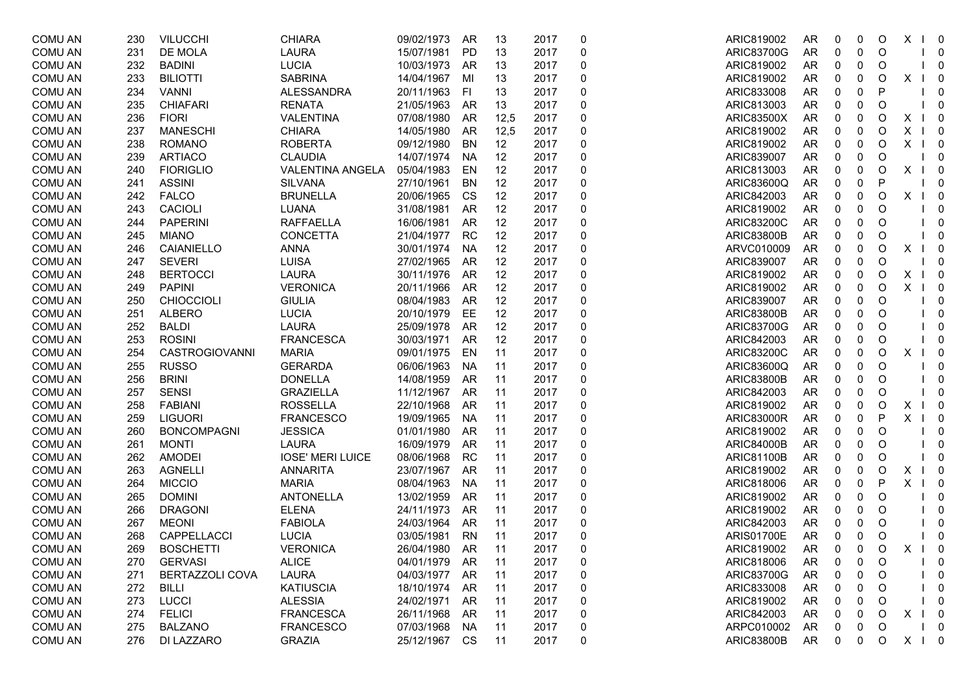| <b>COMU AN</b> | 230 | <b>VILUCCHI</b>        | <b>CHIARA</b>           | 09/02/1973 | <b>AR</b> | 13   | 2017 | 0 | ARIC819002        | AR        | 0            | 0                | O       | X<br>$\perp$ | $\overline{\phantom{0}}$ |
|----------------|-----|------------------------|-------------------------|------------|-----------|------|------|---|-------------------|-----------|--------------|------------------|---------|--------------|--------------------------|
| <b>COMU AN</b> | 231 | DE MOLA                | <b>LAURA</b>            | 15/07/1981 | PD        | 13   | 2017 | 0 | <b>ARIC83700G</b> | AR        | 0            | $\pmb{0}$        | O       |              | $\overline{0}$           |
| <b>COMU AN</b> | 232 | <b>BADINI</b>          | <b>LUCIA</b>            | 10/03/1973 | AR        | 13   | 2017 | 0 | ARIC819002        | AR        | 0            | 0                | O       |              | $\mathbf 0$              |
| <b>COMU AN</b> | 233 | <b>BILIOTTI</b>        | <b>SABRINA</b>          | 14/04/1967 | MI        | 13   | 2017 | 0 | ARIC819002        | AR        | 0            | $\mathbf 0$      | O       | X            | $\overline{\phantom{0}}$ |
| <b>COMU AN</b> | 234 | <b>VANNI</b>           | <b>ALESSANDRA</b>       | 20/11/1963 | FI.       | 13   | 2017 | 0 | ARIC833008        | <b>AR</b> | 0            | $\pmb{0}$        | P       |              | $\mathbf 0$              |
| <b>COMU AN</b> | 235 | <b>CHIAFARI</b>        | <b>RENATA</b>           | 21/05/1963 | AR        | 13   | 2017 | 0 | ARIC813003        | AR        | 0            | 0                | O       |              | $\overline{0}$           |
| <b>COMU AN</b> | 236 | <b>FIORI</b>           | <b>VALENTINA</b>        | 07/08/1980 | AR        | 12,5 | 2017 | 0 | <b>ARIC83500X</b> | AR        | 0            | 0                | O       | X            | $\overline{\phantom{0}}$ |
| <b>COMU AN</b> | 237 | <b>MANESCHI</b>        | <b>CHIARA</b>           | 14/05/1980 | AR        | 12,5 | 2017 | 0 | ARIC819002        | AR        | 0            | 0                | O       | X            | $\overline{\mathbf{0}}$  |
| <b>COMU AN</b> | 238 | <b>ROMANO</b>          | <b>ROBERTA</b>          | 09/12/1980 | <b>BN</b> | 12   | 2017 | 0 | ARIC819002        | <b>AR</b> | 0            | 0                | O       | X            | $\overline{\phantom{0}}$ |
| <b>COMU AN</b> | 239 | <b>ARTIACO</b>         | <b>CLAUDIA</b>          | 14/07/1974 | <b>NA</b> | 12   | 2017 | 0 | ARIC839007        | <b>AR</b> | 0            | $\pmb{0}$        | O       |              | $\overline{\mathbf{0}}$  |
| <b>COMU AN</b> | 240 | <b>FIORIGLIO</b>       | <b>VALENTINA ANGELA</b> | 05/04/1983 | EN        | 12   | 2017 | 0 | ARIC813003        | AR        | 0            | $\pmb{0}$        | O       | X            | $\overline{\phantom{0}}$ |
| <b>COMU AN</b> | 241 | <b>ASSINI</b>          | <b>SILVANA</b>          | 27/10/1961 | BN        | 12   | 2017 | 0 | ARIC83600Q        | AR        | 0            | 0                | P       |              | $\overline{\phantom{0}}$ |
| <b>COMU AN</b> | 242 | <b>FALCO</b>           | <b>BRUNELLA</b>         | 20/06/1965 | CS        | 12   | 2017 | 0 | ARIC842003        | AR        | 0            | 0                | O       | X            | $\overline{\phantom{0}}$ |
| <b>COMU AN</b> | 243 | CACIOLI                | LUANA                   | 31/08/1981 | AR        | 12   | 2017 | 0 | ARIC819002        | <b>AR</b> | 0            | $\pmb{0}$        | O       |              | $\mathbf 0$              |
| <b>COMU AN</b> | 244 | <b>PAPERINI</b>        | <b>RAFFAELLA</b>        | 16/06/1981 | AR        | 12   | 2017 | 0 | <b>ARIC83200C</b> | AR        | 0            | 0                | O       |              | 0                        |
| <b>COMU AN</b> | 245 | <b>MIANO</b>           | CONCETTA                | 21/04/1977 | <b>RC</b> | 12   | 2017 | 0 | <b>ARIC83800B</b> | AR        | 0            | 0                | O       |              | 0                        |
| <b>COMU AN</b> | 246 | CAIANIELLO             | <b>ANNA</b>             | 30/01/1974 | <b>NA</b> | 12   | 2017 | 0 | ARVC010009        | AR        | 0            | 0                | O       | X            | $\overline{\mathbf{0}}$  |
| <b>COMU AN</b> | 247 | <b>SEVERI</b>          | <b>LUISA</b>            | 27/02/1965 | AR        | 12   | 2017 | 0 | ARIC839007        | <b>AR</b> | 0            | 0                | O       |              | $\overline{0}$           |
| <b>COMU AN</b> | 248 | <b>BERTOCCI</b>        | <b>LAURA</b>            | 30/11/1976 | AR        | 12   | 2017 | 0 | ARIC819002        | AR        | 0            | $\pmb{0}$        | O       | X            | $\overline{\phantom{0}}$ |
| <b>COMU AN</b> | 249 | <b>PAPINI</b>          | <b>VERONICA</b>         | 20/11/1966 | AR        | 12   | 2017 | 0 | ARIC819002        | AR        | 0            | 0                | O       | X            | $\overline{\mathbf{0}}$  |
| <b>COMU AN</b> | 250 | <b>CHIOCCIOLI</b>      | <b>GIULIA</b>           | 08/04/1983 | AR        | 12   | 2017 | 0 | ARIC839007        | AR        | 0            | 0                | O       |              | 0                        |
| <b>COMU AN</b> | 251 | <b>ALBERO</b>          | <b>LUCIA</b>            | 20/10/1979 | EE        | 12   | 2017 | 0 | <b>ARIC83800B</b> | <b>AR</b> | 0            | 0                | O       |              | $\mathbf 0$              |
| <b>COMU AN</b> | 252 | <b>BALDI</b>           | <b>LAURA</b>            | 25/09/1978 | AR        | 12   | 2017 | 0 | ARIC83700G        | AR        | 0            | 0                | O       |              | 0                        |
| <b>COMU AN</b> | 253 | <b>ROSINI</b>          | <b>FRANCESCA</b>        | 30/03/1971 | AR        | 12   | 2017 | 0 | ARIC842003        | AR        | 0            | 0                | O       |              | $\overline{0}$           |
| <b>COMU AN</b> | 254 | <b>CASTROGIOVANNI</b>  | <b>MARIA</b>            | 09/01/1975 | EN        | 11   | 2017 | 0 | <b>ARIC83200C</b> | AR        | 0            | 0                | O       | X            | $\overline{\mathbf{0}}$  |
| <b>COMU AN</b> | 255 | <b>RUSSO</b>           | <b>GERARDA</b>          | 06/06/1963 | <b>NA</b> | 11   | 2017 | 0 | ARIC83600Q        | <b>AR</b> | 0            | 0                | O       |              | 0                        |
| <b>COMU AN</b> | 256 | <b>BRINI</b>           | <b>DONELLA</b>          | 14/08/1959 | AR        | 11   | 2017 | 0 | <b>ARIC83800B</b> | AR        | 0            | 0                | O       |              | 0                        |
| <b>COMU AN</b> | 257 | <b>SENSI</b>           | <b>GRAZIELLA</b>        | 11/12/1967 | AR        | 11   | 2017 | 0 | ARIC842003        | AR        | 0            | 0                | O       |              | $\mathbf 0$              |
| <b>COMU AN</b> | 258 | <b>FABIANI</b>         | <b>ROSSELLA</b>         | 22/10/1968 | AR        | 11   | 2017 | 0 | ARIC819002        | AR        | 0            | 0                | O       | X            | $\overline{\mathbf{0}}$  |
| <b>COMU AN</b> | 259 | <b>LIGUORI</b>         | <b>FRANCESCO</b>        | 19/09/1965 | <b>NA</b> | 11   | 2017 | 0 | <b>ARIC83000R</b> | AR        | 0            | 0                | P       | X            | $\overline{\mathbf{0}}$  |
| <b>COMU AN</b> | 260 | <b>BONCOMPAGNI</b>     | <b>JESSICA</b>          | 01/01/1980 | <b>AR</b> | 11   | 2017 | 0 | ARIC819002        | AR        | 0            | 0                | O       |              | $\mathbf 0$              |
| <b>COMU AN</b> | 261 | <b>MONTI</b>           | <b>LAURA</b>            | 16/09/1979 | AR        | 11   | 2017 | 0 | <b>ARIC84000B</b> | AR        | 0            | 0                | O       |              | 0                        |
| <b>COMU AN</b> | 262 | <b>AMODEI</b>          | <b>IOSE' MERI LUICE</b> | 08/06/1968 | <b>RC</b> | 11   | 2017 | 0 | ARIC81100B        | AR        | 0            | 0                | O       |              | $\Omega$                 |
| <b>COMU AN</b> | 263 | <b>AGNELLI</b>         | <b>ANNARITA</b>         | 23/07/1967 | AR        | 11   | 2017 | 0 | ARIC819002        | <b>AR</b> | 0            | 0                | O       | X            | $\overline{\phantom{0}}$ |
| <b>COMU AN</b> | 264 | <b>MICCIO</b>          | <b>MARIA</b>            | 08/04/1963 | <b>NA</b> | 11   | 2017 | 0 | ARIC818006        | <b>AR</b> | 0            | $\mathbf 0$      | P       | X            | $\overline{\phantom{0}}$ |
| <b>COMU AN</b> | 265 | <b>DOMINI</b>          | ANTONELLA               | 13/02/1959 | AR        | 11   | 2017 | 0 | ARIC819002        | AR        | 0            | 0                | O       |              | $\overline{\mathbf{0}}$  |
| <b>COMU AN</b> | 266 | <b>DRAGONI</b>         | <b>ELENA</b>            | 24/11/1973 | AR        | 11   | 2017 | 0 | ARIC819002        | AR        | 0            | 0                | O       |              | $\overline{0}$           |
| <b>COMU AN</b> | 267 | <b>MEONI</b>           | <b>FABIOLA</b>          | 24/03/1964 | AR        | 11   | 2017 | 0 | ARIC842003        | AR        | 0            | 0                | O       |              | 0                        |
| <b>COMU AN</b> | 268 | CAPPELLACCI            | <b>LUCIA</b>            | 03/05/1981 | <b>RN</b> | 11   | 2017 | 0 | <b>ARIS01700E</b> | AR        | 0            | 0                | O       |              | $\overline{0}$           |
| COMU AN        | 269 | <b>BOSCHETTI</b>       | <b>VERONICA</b>         | 26/04/1980 | AR        | 11   | 2017 | 0 | ARIC819002        | <b>AR</b> | $\mathbf{0}$ | $\mathbf 0$      | $\circ$ | X            | 0                        |
| <b>COMU AN</b> | 270 | <b>GERVASI</b>         | <b>ALICE</b>            | 04/01/1979 | AR        | 11   | 2017 | 0 | ARIC818006        | AR        | 0            | 0                | O       |              | 0                        |
| <b>COMU AN</b> | 271 | <b>BERTAZZOLI COVA</b> | <b>LAURA</b>            | 04/03/1977 | AR        | 11   | 2017 | 0 | <b>ARIC83700G</b> | AR        |              | 0                | O       |              | 0                        |
| COMU AN        | 272 | BILLI                  | <b>KATIUSCIA</b>        | 18/10/1974 | AR        | 11   | 2017 | 0 | ARIC833008        | AR        |              | 0                | O       |              | $\mathbf{0}$             |
| <b>COMU AN</b> | 273 | <b>LUCCI</b>           | <b>ALESSIA</b>          | 24/02/1971 | AR        | 11   | 2017 | 0 | ARIC819002        | AR        |              | 0                | O       |              | - 0                      |
| <b>COMU AN</b> | 274 | <b>FELICI</b>          | <b>FRANCESCA</b>        | 26/11/1968 | AR        | 11   | 2017 |   | ARIC842003        | AR        |              | 0                | O       | X.           | $1 \quad 0$              |
| <b>COMU AN</b> | 275 | <b>BALZANO</b>         | <b>FRANCESCO</b>        | 07/03/1968 | <b>NA</b> | 11   | 2017 | 0 | ARPC010002        | AR        | 0            | $\boldsymbol{0}$ | O       |              | $1 \quad 0$              |
| <b>COMU AN</b> | 276 | DI LAZZARO             | <b>GRAZIA</b>           | 25/12/1967 | CS        | 11   | 2017 | 0 | <b>ARIC83800B</b> | AR        | 0            | 0                | O       |              | $X \mid 0$               |